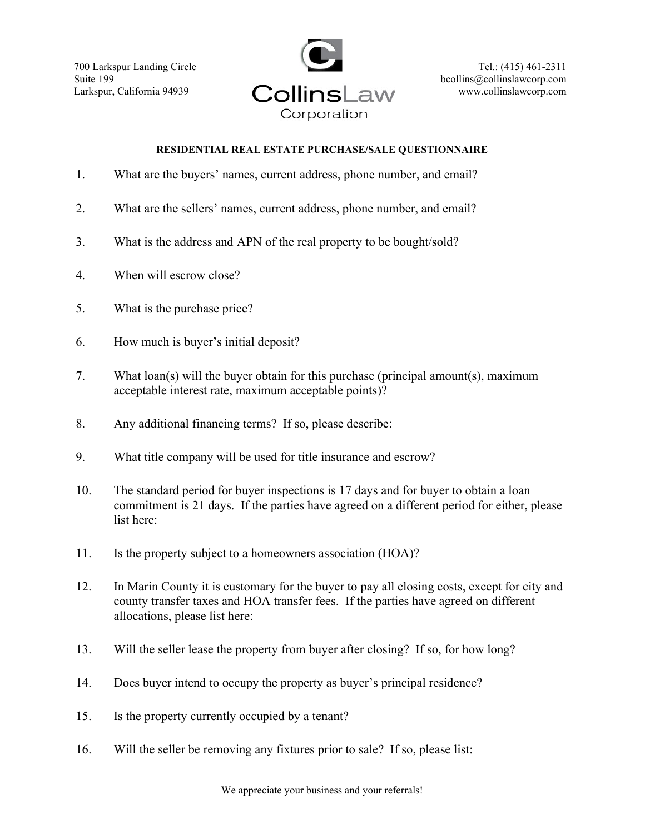700 Larkspur Landing Circle Suite 199 Larkspur, California 94939



## RESIDENTIAL REAL ESTATE PURCHASE/SALE QUESTIONNAIRE

- 1. What are the buyers' names, current address, phone number, and email?
- 2. What are the sellers' names, current address, phone number, and email?
- 3. What is the address and APN of the real property to be bought/sold?
- 4. When will escrow close?
- 5. What is the purchase price?
- 6. How much is buyer's initial deposit?
- 7. What loan(s) will the buyer obtain for this purchase (principal amount(s), maximum acceptable interest rate, maximum acceptable points)?
- 8. Any additional financing terms? If so, please describe:
- 9. What title company will be used for title insurance and escrow?
- 10. The standard period for buyer inspections is 17 days and for buyer to obtain a loan commitment is 21 days. If the parties have agreed on a different period for either, please list here:
- 11. Is the property subject to a homeowners association (HOA)?
- 12. In Marin County it is customary for the buyer to pay all closing costs, except for city and county transfer taxes and HOA transfer fees. If the parties have agreed on different allocations, please list here:
- 13. Will the seller lease the property from buyer after closing? If so, for how long?
- 14. Does buyer intend to occupy the property as buyer's principal residence?
- 15. Is the property currently occupied by a tenant?
- 16. Will the seller be removing any fixtures prior to sale? If so, please list: